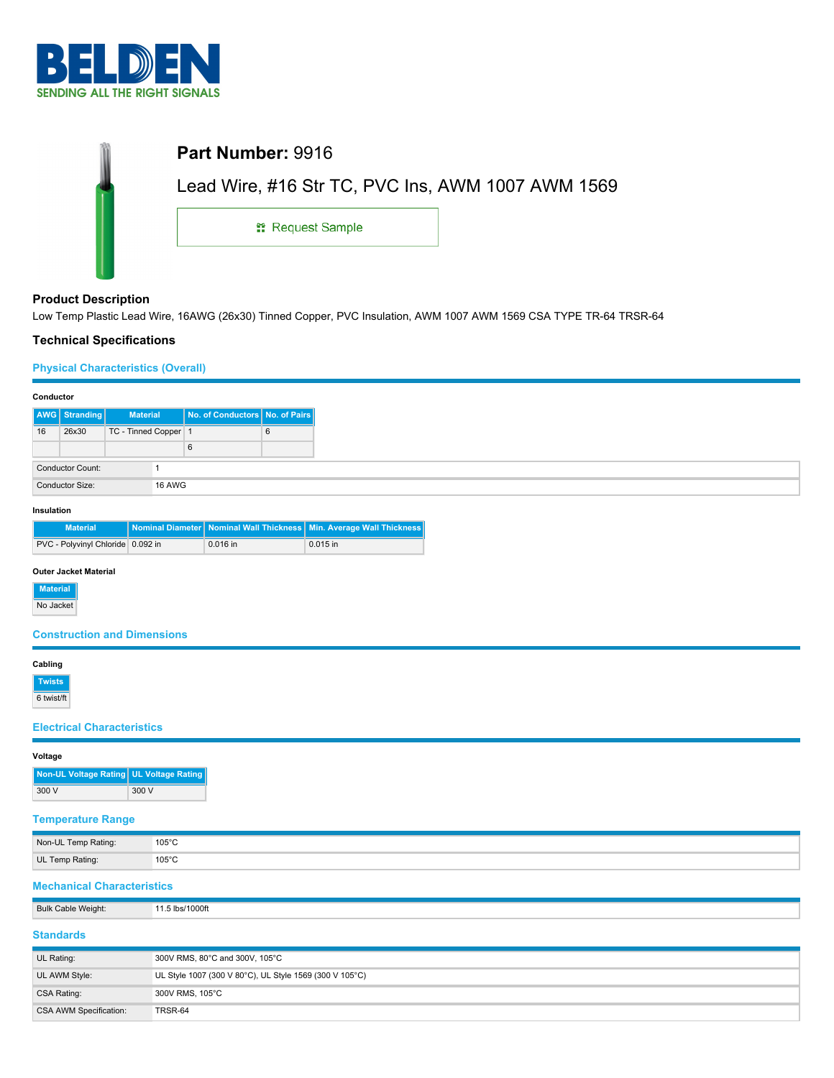

| Part Number: 9916                                 |  |
|---------------------------------------------------|--|
| Lead Wire, #16 Str TC, PVC Ins, AWM 1007 AWM 1569 |  |
| <sub>11</sub> Request Sample                      |  |
|                                                   |  |

# **Product Description**

Low Temp Plastic Lead Wire, 16AWG (26x30) Tinned Copper, PVC Insulation, AWM 1007 AWM 1569 CSA TYPE TR-64 TRSR-64

# **Technical Specifications**

# **Physical Characteristics (Overall)**

| Conductor       |                  |                      |  |                                |   |
|-----------------|------------------|----------------------|--|--------------------------------|---|
|                 | AWG Stranding    | <b>Material</b>      |  | No. of Conductors No. of Pairs |   |
| 16              | 26x30            | TC - Tinned Copper 1 |  |                                | 6 |
|                 |                  |                      |  | 6                              |   |
|                 | Conductor Count: |                      |  |                                |   |
| Conductor Size: |                  | <b>16 AWG</b>        |  |                                |   |

### **Insulation**

| <b>Material</b>                   |          | Nominal Diameter Nominal Wall Thickness   Min. Average Wall Thickness |
|-----------------------------------|----------|-----------------------------------------------------------------------|
| PVC - Polyvinyl Chloride 0.092 in | 0.016 in | $0.015$ in                                                            |

## **Outer Jacket Material**

**Material**

No Jacket

# **Construction and Dimensions**

## **Cabling**

**Twists** 6 twist/ft

### **Electrical Characteristics**

# Non-UL Temp Rating: 105°C UL Temp Rating: 105°C

# **Mechanical Characteristics**

| <b>Bulk Cable Weight:</b> | 11.5 lbs/1000ft                                         |
|---------------------------|---------------------------------------------------------|
| <b>Standards</b>          |                                                         |
| UL Rating:                | 300V RMS, 80°C and 300V, 105°C                          |
| UL AWM Style:             | UL Style 1007 (300 V 80°C), UL Style 1569 (300 V 105°C) |
| CSA Rating:               | 300V RMS, 105°C                                         |
| CSA AWM Specification:    | TRSR-64                                                 |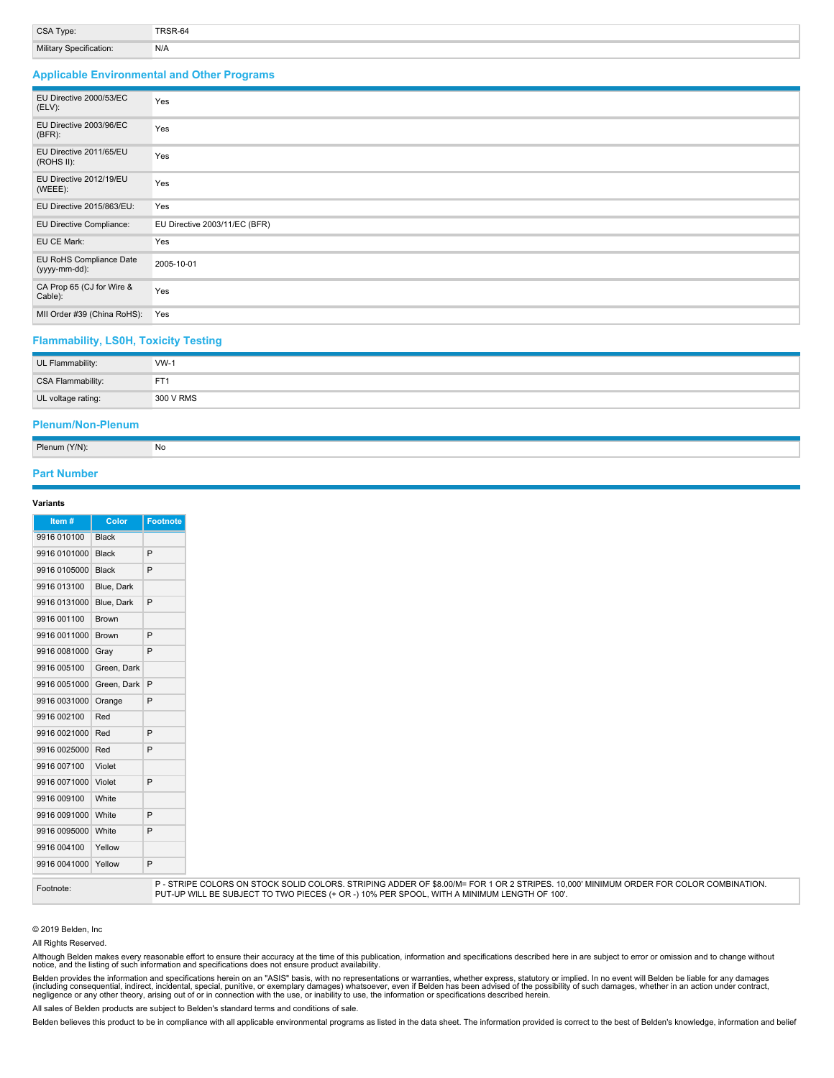| <b>CSA Type:</b>        |     |
|-------------------------|-----|
| Military Specification: | N/A |

## **Applicable Environmental and Other Programs**

| EU Directive 2000/53/EC<br>$(ELV)$ :     | Yes                           |
|------------------------------------------|-------------------------------|
| EU Directive 2003/96/EC<br>$(BFR)$ :     | Yes                           |
| EU Directive 2011/65/EU<br>(ROHS II):    | Yes                           |
| EU Directive 2012/19/EU<br>(WEEE):       | Yes                           |
| EU Directive 2015/863/EU:                | Yes                           |
| EU Directive Compliance:                 | EU Directive 2003/11/EC (BFR) |
| EU CE Mark:                              | Yes                           |
| EU RoHS Compliance Date<br>(yyyy-mm-dd): | 2005-10-01                    |
| CA Prop 65 (CJ for Wire &<br>Cable):     | Yes                           |
| MII Order #39 (China RoHS):              | Yes                           |

### **Flammability, LS0H, Toxicity Testing**

| UL Flammability:   | $VW-1$          |
|--------------------|-----------------|
| CSA Flammability:  | FT <sup>-</sup> |
| UL voltage rating: | 300 V RMS       |

## **Plenum/Non-Plenum**

| Plenum (Y/N): | No |  |  |
|---------------|----|--|--|

### **Part Number**

### **Variants**

| Item#        | Color        | <b>Footnote</b> |
|--------------|--------------|-----------------|
| 9916 010100  | <b>Black</b> |                 |
| 9916 0101000 | <b>Black</b> | P               |
| 9916 0105000 | <b>Black</b> | P               |
| 9916 013100  | Blue, Dark   |                 |
| 9916 0131000 | Blue, Dark   | P               |
| 9916 001100  | Brown        |                 |
| 9916 0011000 | <b>Brown</b> | P               |
| 9916 0081000 | Gray         | P               |
| 9916 005100  | Green, Dark  |                 |
| 9916 0051000 | Green, Dark  | P               |
| 9916 0031000 | Orange       | P               |
| 9916 002100  | Red          |                 |
| 9916 0021000 | Red          | P               |
| 9916 0025000 | Red          | P               |
| 9916 007100  | Violet       |                 |
| 9916 0071000 | Violet       | P               |
| 9916 009100  | White        |                 |
| 9916 0091000 | White        | P               |
| 9916 0095000 | White        | P               |
| 9916 004100  | Yellow       |                 |
| 9916 0041000 | Yellow       | P               |

Footnote:<br>P - STRIPE COLORS ON STOCK SOLID COLORS. STRIPING ADDER OF \$8.00/M= FOR 1 OR 2 STRIPES. 10,000' MINIMUM ORDER FOR COLOR COMBINATION. PUT-UP WILL BE SUBJECT TO TWO PIECES (+ OR -) 10% PER SPOOL, WITH A MINIMUM LENGTH OF 100'.

#### © 2019 Belden, Inc

All Rights Reserved.

Although Belden makes every reasonable effort to ensure their accuracy at the time of this publication, information and specifications described here in are subject to error or omission and to change without<br>notice, and th

Belden provides the information and specifications herein on an "ASIS" basis, with no representations or warranties, whether express, statutory or implied. In no event will Belden be liable for any damages<br>(including conse

All sales of Belden products are subject to Belden's standard terms and conditions of sale.

Belden believes this product to be in compliance with all applicable environmental programs as listed in the data sheet. The information provided is correct to the best of Belden's knowledge, information and belief